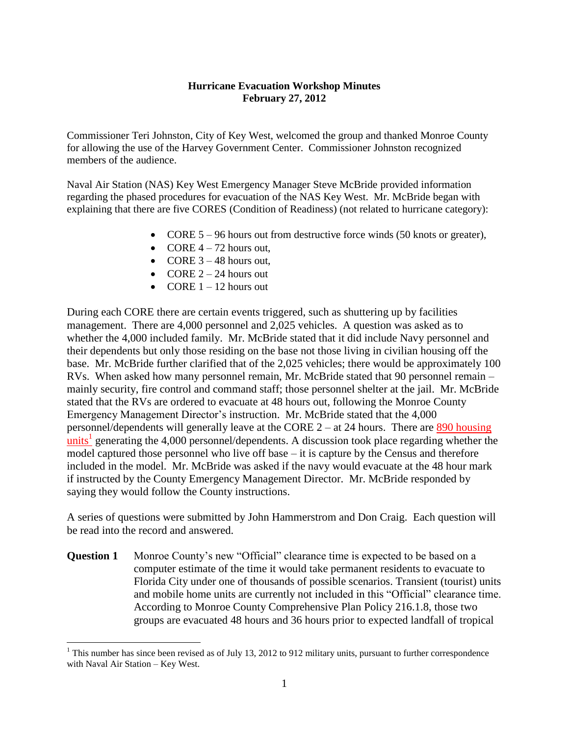#### **Hurricane Evacuation Workshop Minutes February 27, 2012**

Commissioner Teri Johnston, City of Key West, welcomed the group and thanked Monroe County for allowing the use of the Harvey Government Center. Commissioner Johnston recognized members of the audience.

Naval Air Station (NAS) Key West Emergency Manager Steve McBride provided information regarding the phased procedures for evacuation of the NAS Key West. Mr. McBride began with explaining that there are five CORES (Condition of Readiness) (not related to hurricane category):

- CORE 5 96 hours out from destructive force winds (50 knots or greater),
- CORE  $4 72$  hours out,
- $\bullet$  CORE 3 48 hours out.
- CORE  $2 24$  hours out
- CORE  $1 12$  hours out

 $\overline{a}$ 

During each CORE there are certain events triggered, such as shuttering up by facilities management. There are 4,000 personnel and 2,025 vehicles. A question was asked as to whether the 4,000 included family. Mr. McBride stated that it did include Navy personnel and their dependents but only those residing on the base not those living in civilian housing off the base. Mr. McBride further clarified that of the 2,025 vehicles; there would be approximately 100 RVs. When asked how many personnel remain, Mr. McBride stated that 90 personnel remain – mainly security, fire control and command staff; those personnel shelter at the jail. Mr. McBride stated that the RVs are ordered to evacuate at 48 hours out, following the Monroe County Emergency Management Director's instruction. Mr. McBride stated that the 4,000 personnel/dependents will generally leave at the CORE 2 – at 24 hours. There are 890 housing  $\frac{units^1}{s}$  generating the 4,000 personnel/dependents. A discussion took place regarding whether the model captured those personnel who live off base – it is capture by the Census and therefore included in the model. Mr. McBride was asked if the navy would evacuate at the 48 hour mark if instructed by the County Emergency Management Director. Mr. McBride responded by saying they would follow the County instructions.

A series of questions were submitted by John Hammerstrom and Don Craig. Each question will be read into the record and answered.

**Question 1** Monroe County's new "Official" clearance time is expected to be based on a computer estimate of the time it would take permanent residents to evacuate to Florida City under one of thousands of possible scenarios. Transient (tourist) units and mobile home units are currently not included in this "Official" clearance time. According to Monroe County Comprehensive Plan Policy 216.1.8, those two groups are evacuated 48 hours and 36 hours prior to expected landfall of tropical

 $1$ <sup>1</sup> This number has since been revised as of July 13, 2012 to 912 military units, pursuant to further correspondence with Naval Air Station – Key West.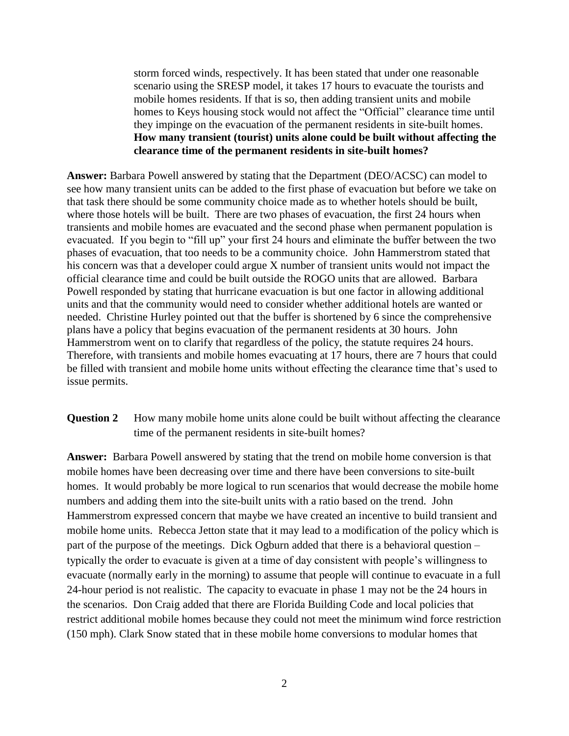storm forced winds, respectively. It has been stated that under one reasonable scenario using the SRESP model, it takes 17 hours to evacuate the tourists and mobile homes residents. If that is so, then adding transient units and mobile homes to Keys housing stock would not affect the "Official" clearance time until they impinge on the evacuation of the permanent residents in site-built homes. **How many transient (tourist) units alone could be built without affecting the clearance time of the permanent residents in site-built homes?**

**Answer:** Barbara Powell answered by stating that the Department (DEO/ACSC) can model to see how many transient units can be added to the first phase of evacuation but before we take on that task there should be some community choice made as to whether hotels should be built, where those hotels will be built. There are two phases of evacuation, the first 24 hours when transients and mobile homes are evacuated and the second phase when permanent population is evacuated. If you begin to "fill up" your first 24 hours and eliminate the buffer between the two phases of evacuation, that too needs to be a community choice. John Hammerstrom stated that his concern was that a developer could argue X number of transient units would not impact the official clearance time and could be built outside the ROGO units that are allowed. Barbara Powell responded by stating that hurricane evacuation is but one factor in allowing additional units and that the community would need to consider whether additional hotels are wanted or needed. Christine Hurley pointed out that the buffer is shortened by 6 since the comprehensive plans have a policy that begins evacuation of the permanent residents at 30 hours. John Hammerstrom went on to clarify that regardless of the policy, the statute requires 24 hours. Therefore, with transients and mobile homes evacuating at 17 hours, there are 7 hours that could be filled with transient and mobile home units without effecting the clearance time that's used to issue permits.

### **Question 2** How many mobile home units alone could be built without affecting the clearance time of the permanent residents in site-built homes?

**Answer:** Barbara Powell answered by stating that the trend on mobile home conversion is that mobile homes have been decreasing over time and there have been conversions to site-built homes. It would probably be more logical to run scenarios that would decrease the mobile home numbers and adding them into the site-built units with a ratio based on the trend. John Hammerstrom expressed concern that maybe we have created an incentive to build transient and mobile home units. Rebecca Jetton state that it may lead to a modification of the policy which is part of the purpose of the meetings. Dick Ogburn added that there is a behavioral question – typically the order to evacuate is given at a time of day consistent with people's willingness to evacuate (normally early in the morning) to assume that people will continue to evacuate in a full 24-hour period is not realistic. The capacity to evacuate in phase 1 may not be the 24 hours in the scenarios. Don Craig added that there are Florida Building Code and local policies that restrict additional mobile homes because they could not meet the minimum wind force restriction (150 mph). Clark Snow stated that in these mobile home conversions to modular homes that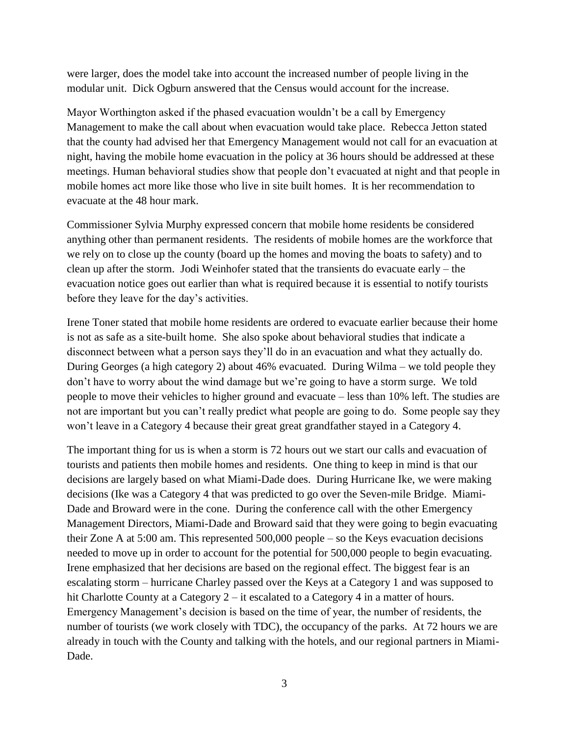were larger, does the model take into account the increased number of people living in the modular unit. Dick Ogburn answered that the Census would account for the increase.

Mayor Worthington asked if the phased evacuation wouldn't be a call by Emergency Management to make the call about when evacuation would take place. Rebecca Jetton stated that the county had advised her that Emergency Management would not call for an evacuation at night, having the mobile home evacuation in the policy at 36 hours should be addressed at these meetings. Human behavioral studies show that people don't evacuated at night and that people in mobile homes act more like those who live in site built homes. It is her recommendation to evacuate at the 48 hour mark.

Commissioner Sylvia Murphy expressed concern that mobile home residents be considered anything other than permanent residents. The residents of mobile homes are the workforce that we rely on to close up the county (board up the homes and moving the boats to safety) and to clean up after the storm. Jodi Weinhofer stated that the transients do evacuate early – the evacuation notice goes out earlier than what is required because it is essential to notify tourists before they leave for the day's activities.

Irene Toner stated that mobile home residents are ordered to evacuate earlier because their home is not as safe as a site-built home. She also spoke about behavioral studies that indicate a disconnect between what a person says they'll do in an evacuation and what they actually do. During Georges (a high category 2) about 46% evacuated. During Wilma – we told people they don't have to worry about the wind damage but we're going to have a storm surge. We told people to move their vehicles to higher ground and evacuate – less than 10% left. The studies are not are important but you can't really predict what people are going to do. Some people say they won't leave in a Category 4 because their great great grandfather stayed in a Category 4.

The important thing for us is when a storm is 72 hours out we start our calls and evacuation of tourists and patients then mobile homes and residents. One thing to keep in mind is that our decisions are largely based on what Miami-Dade does. During Hurricane Ike, we were making decisions (Ike was a Category 4 that was predicted to go over the Seven-mile Bridge. Miami-Dade and Broward were in the cone. During the conference call with the other Emergency Management Directors, Miami-Dade and Broward said that they were going to begin evacuating their Zone A at 5:00 am. This represented 500,000 people – so the Keys evacuation decisions needed to move up in order to account for the potential for 500,000 people to begin evacuating. Irene emphasized that her decisions are based on the regional effect. The biggest fear is an escalating storm – hurricane Charley passed over the Keys at a Category 1 and was supposed to hit Charlotte County at a Category 2 – it escalated to a Category 4 in a matter of hours. Emergency Management's decision is based on the time of year, the number of residents, the number of tourists (we work closely with TDC), the occupancy of the parks. At 72 hours we are already in touch with the County and talking with the hotels, and our regional partners in Miami-Dade.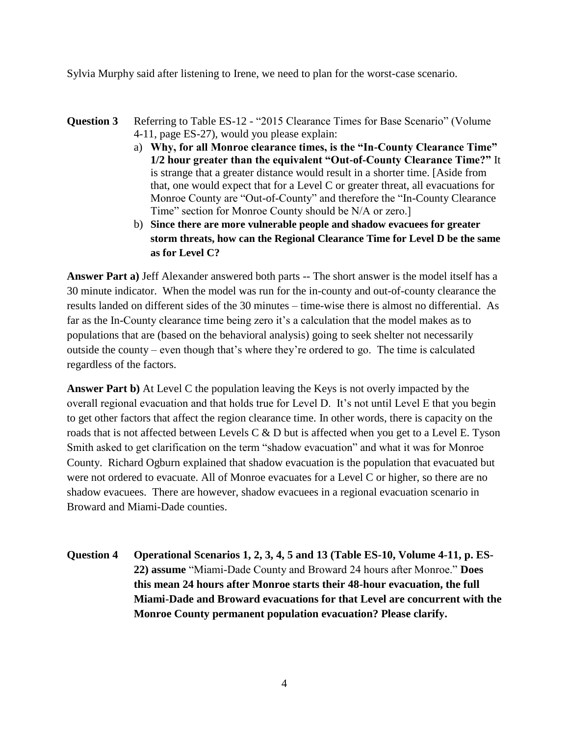Sylvia Murphy said after listening to Irene, we need to plan for the worst-case scenario.

- **Question 3** Referring to Table ES-12 "2015 Clearance Times for Base Scenario" (Volume 4-11, page ES-27), would you please explain:
	- a) **Why, for all Monroe clearance times, is the "In-County Clearance Time" 1/2 hour greater than the equivalent "Out-of-County Clearance Time?"** It is strange that a greater distance would result in a shorter time. [Aside from that, one would expect that for a Level C or greater threat, all evacuations for Monroe County are "Out-of-County" and therefore the "In-County Clearance Time" section for Monroe County should be N/A or zero.]
	- b) **Since there are more vulnerable people and shadow evacuees for greater storm threats, how can the Regional Clearance Time for Level D be the same as for Level C?**

**Answer Part a)** Jeff Alexander answered both parts -- The short answer is the model itself has a 30 minute indicator. When the model was run for the in-county and out-of-county clearance the results landed on different sides of the 30 minutes – time-wise there is almost no differential. As far as the In-County clearance time being zero it's a calculation that the model makes as to populations that are (based on the behavioral analysis) going to seek shelter not necessarily outside the county – even though that's where they're ordered to go. The time is calculated regardless of the factors.

**Answer Part b)** At Level C the population leaving the Keys is not overly impacted by the overall regional evacuation and that holds true for Level D. It's not until Level E that you begin to get other factors that affect the region clearance time. In other words, there is capacity on the roads that is not affected between Levels C & D but is affected when you get to a Level E. Tyson Smith asked to get clarification on the term "shadow evacuation" and what it was for Monroe County. Richard Ogburn explained that shadow evacuation is the population that evacuated but were not ordered to evacuate. All of Monroe evacuates for a Level C or higher, so there are no shadow evacuees. There are however, shadow evacuees in a regional evacuation scenario in Broward and Miami-Dade counties.

**Question 4 Operational Scenarios 1, 2, 3, 4, 5 and 13 (Table ES-10, Volume 4-11, p. ES-22) assume** "Miami-Dade County and Broward 24 hours after Monroe." **Does this mean 24 hours after Monroe starts their 48-hour evacuation, the full Miami-Dade and Broward evacuations for that Level are concurrent with the Monroe County permanent population evacuation? Please clarify.**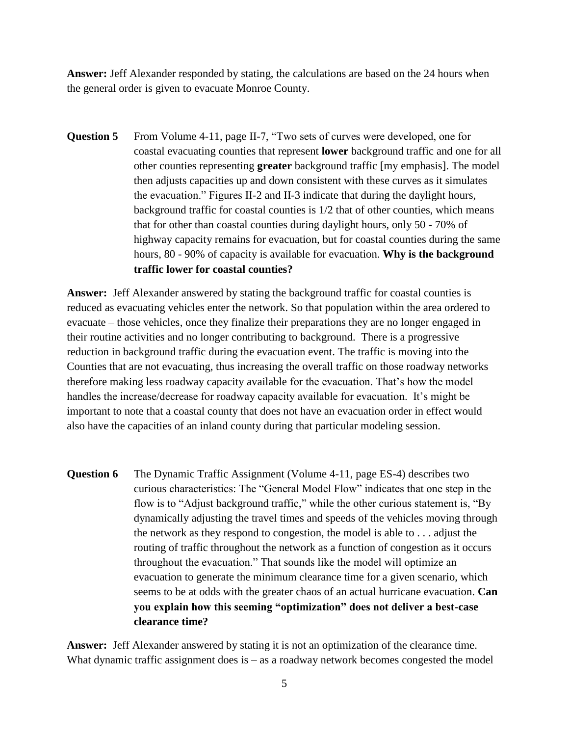**Answer:** Jeff Alexander responded by stating, the calculations are based on the 24 hours when the general order is given to evacuate Monroe County.

**Question 5** From Volume 4-11, page II-7, "Two sets of curves were developed, one for coastal evacuating counties that represent **lower** background traffic and one for all other counties representing **greater** background traffic [my emphasis]. The model then adjusts capacities up and down consistent with these curves as it simulates the evacuation." Figures II-2 and II-3 indicate that during the daylight hours, background traffic for coastal counties is 1/2 that of other counties, which means that for other than coastal counties during daylight hours, only 50 - 70% of highway capacity remains for evacuation, but for coastal counties during the same hours, 80 - 90% of capacity is available for evacuation. **Why is the background traffic lower for coastal counties?**

**Answer:** Jeff Alexander answered by stating the background traffic for coastal counties is reduced as evacuating vehicles enter the network. So that population within the area ordered to evacuate – those vehicles, once they finalize their preparations they are no longer engaged in their routine activities and no longer contributing to background. There is a progressive reduction in background traffic during the evacuation event. The traffic is moving into the Counties that are not evacuating, thus increasing the overall traffic on those roadway networks therefore making less roadway capacity available for the evacuation. That's how the model handles the increase/decrease for roadway capacity available for evacuation. It's might be important to note that a coastal county that does not have an evacuation order in effect would also have the capacities of an inland county during that particular modeling session.

**Question 6** The Dynamic Traffic Assignment (Volume 4-11, page ES-4) describes two curious characteristics: The "General Model Flow" indicates that one step in the flow is to "Adjust background traffic," while the other curious statement is, "By dynamically adjusting the travel times and speeds of the vehicles moving through the network as they respond to congestion, the model is able to . . . adjust the routing of traffic throughout the network as a function of congestion as it occurs throughout the evacuation." That sounds like the model will optimize an evacuation to generate the minimum clearance time for a given scenario, which seems to be at odds with the greater chaos of an actual hurricane evacuation. **Can you explain how this seeming "optimization" does not deliver a best-case clearance time?**

**Answer:** Jeff Alexander answered by stating it is not an optimization of the clearance time. What dynamic traffic assignment does is – as a roadway network becomes congested the model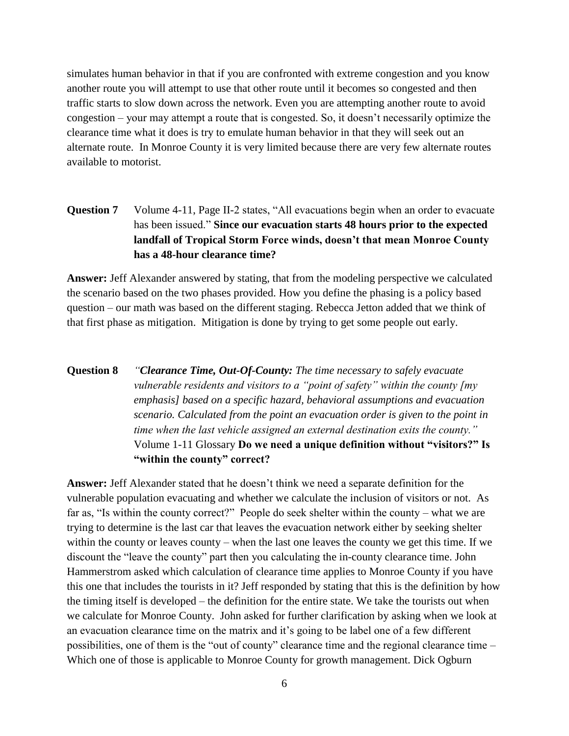simulates human behavior in that if you are confronted with extreme congestion and you know another route you will attempt to use that other route until it becomes so congested and then traffic starts to slow down across the network. Even you are attempting another route to avoid congestion – your may attempt a route that is congested. So, it doesn't necessarily optimize the clearance time what it does is try to emulate human behavior in that they will seek out an alternate route. In Monroe County it is very limited because there are very few alternate routes available to motorist.

## **Question 7** Volume 4-11, Page II-2 states, "All evacuations begin when an order to evacuate has been issued." **Since our evacuation starts 48 hours prior to the expected landfall of Tropical Storm Force winds, doesn't that mean Monroe County has a 48-hour clearance time?**

**Answer:** Jeff Alexander answered by stating, that from the modeling perspective we calculated the scenario based on the two phases provided. How you define the phasing is a policy based question – our math was based on the different staging. Rebecca Jetton added that we think of that first phase as mitigation. Mitigation is done by trying to get some people out early.

# **Question 8** *"Clearance Time, Out-Of-County: The time necessary to safely evacuate vulnerable residents and visitors to a "point of safety" within the county [my emphasis] based on a specific hazard, behavioral assumptions and evacuation scenario. Calculated from the point an evacuation order is given to the point in time when the last vehicle assigned an external destination exits the county."* Volume 1-11 Glossary **Do we need a unique definition without "visitors?" Is "within the county" correct?**

**Answer:** Jeff Alexander stated that he doesn't think we need a separate definition for the vulnerable population evacuating and whether we calculate the inclusion of visitors or not. As far as, "Is within the county correct?" People do seek shelter within the county – what we are trying to determine is the last car that leaves the evacuation network either by seeking shelter within the county or leaves county – when the last one leaves the county we get this time. If we discount the "leave the county" part then you calculating the in-county clearance time. John Hammerstrom asked which calculation of clearance time applies to Monroe County if you have this one that includes the tourists in it? Jeff responded by stating that this is the definition by how the timing itself is developed – the definition for the entire state. We take the tourists out when we calculate for Monroe County. John asked for further clarification by asking when we look at an evacuation clearance time on the matrix and it's going to be label one of a few different possibilities, one of them is the "out of county" clearance time and the regional clearance time – Which one of those is applicable to Monroe County for growth management. Dick Ogburn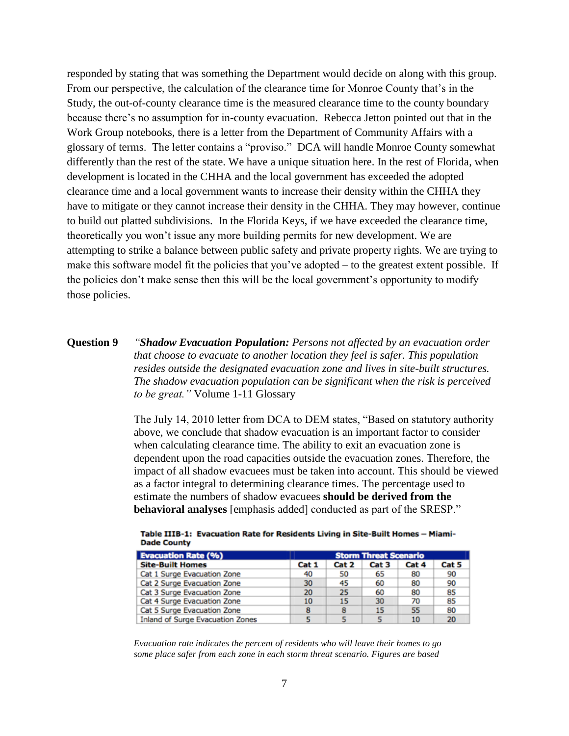responded by stating that was something the Department would decide on along with this group. From our perspective, the calculation of the clearance time for Monroe County that's in the Study, the out-of-county clearance time is the measured clearance time to the county boundary because there's no assumption for in-county evacuation. Rebecca Jetton pointed out that in the Work Group notebooks, there is a letter from the Department of Community Affairs with a glossary of terms. The letter contains a "proviso." DCA will handle Monroe County somewhat differently than the rest of the state. We have a unique situation here. In the rest of Florida, when development is located in the CHHA and the local government has exceeded the adopted clearance time and a local government wants to increase their density within the CHHA they have to mitigate or they cannot increase their density in the CHHA. They may however, continue to build out platted subdivisions. In the Florida Keys, if we have exceeded the clearance time, theoretically you won't issue any more building permits for new development. We are attempting to strike a balance between public safety and private property rights. We are trying to make this software model fit the policies that you've adopted – to the greatest extent possible. If the policies don't make sense then this will be the local government's opportunity to modify those policies.

### **Question 9** *"Shadow Evacuation Population: Persons not affected by an evacuation order that choose to evacuate to another location they feel is safer. This population resides outside the designated evacuation zone and lives in site-built structures. The shadow evacuation population can be significant when the risk is perceived to be great."* Volume 1-11 Glossary

The July 14, 2010 letter from DCA to DEM states, "Based on statutory authority above, we conclude that shadow evacuation is an important factor to consider when calculating clearance time. The ability to exit an evacuation zone is dependent upon the road capacities outside the evacuation zones. Therefore, the impact of all shadow evacuees must be taken into account. This should be viewed as a factor integral to determining clearance times. The percentage used to estimate the numbers of shadow evacuees **should be derived from the behavioral analyses** [emphasis added] conducted as part of the SRESP."

| <b>Evacuation Rate (%)</b>              |       | <b>Storm Threat Scenario</b> |       |       |       |  |
|-----------------------------------------|-------|------------------------------|-------|-------|-------|--|
| <b>Site-Built Homes</b>                 | Cat 1 | Cat 2                        | Cat 3 | Cat 4 | Cat 5 |  |
| Cat 1 Surge Evacuation Zone             | 40    | 50                           | 65    | 80    | 90    |  |
| Cat 2 Surge Evacuation Zone             | 30    | 45                           | 60    | 80    | 90    |  |
| Cat 3 Surge Evacuation Zone             | 20    | 25                           | 60    | 80    | 85    |  |
| Cat 4 Surge Evacuation Zone             | 10    | 15                           | 30    | 70    | 85    |  |
| Cat 5 Surge Evacuation Zone             | 8     | 8                            | 15    | 55    | 80    |  |
| <b>Inland of Surge Evacuation Zones</b> |       |                              |       | 10    | 20    |  |

Table IIIB-1: Evacuation Rate for Residents Living in Site-Built Homes - Miami-**Dade County** 

*Evacuation rate indicates the percent of residents who will leave their homes to go some place safer from each zone in each storm threat scenario. Figures are based*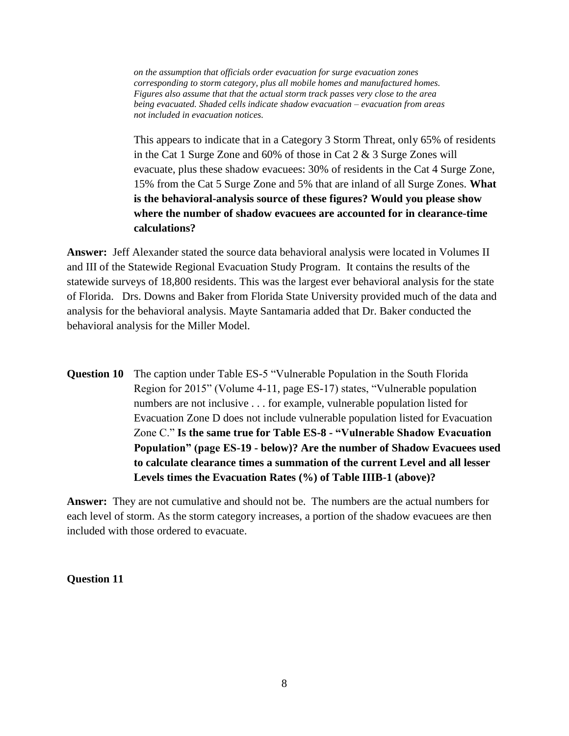*on the assumption that officials order evacuation for surge evacuation zones corresponding to storm category, plus all mobile homes and manufactured homes. Figures also assume that that the actual storm track passes very close to the area being evacuated. Shaded cells indicate shadow evacuation – evacuation from areas not included in evacuation notices.*

This appears to indicate that in a Category 3 Storm Threat, only 65% of residents in the Cat 1 Surge Zone and 60% of those in Cat 2 & 3 Surge Zones will evacuate, plus these shadow evacuees: 30% of residents in the Cat 4 Surge Zone, 15% from the Cat 5 Surge Zone and 5% that are inland of all Surge Zones. **What is the behavioral-analysis source of these figures? Would you please show where the number of shadow evacuees are accounted for in clearance-time calculations?**

**Answer:** Jeff Alexander stated the source data behavioral analysis were located in Volumes II and III of the Statewide Regional Evacuation Study Program. It contains the results of the statewide surveys of 18,800 residents. This was the largest ever behavioral analysis for the state of Florida. Drs. Downs and Baker from Florida State University provided much of the data and analysis for the behavioral analysis. Mayte Santamaria added that Dr. Baker conducted the behavioral analysis for the Miller Model.

**Question 10** The caption under Table ES-5 "Vulnerable Population in the South Florida Region for 2015" (Volume 4-11, page ES-17) states, "Vulnerable population numbers are not inclusive . . . for example, vulnerable population listed for Evacuation Zone D does not include vulnerable population listed for Evacuation Zone C." **Is the same true for Table ES-8 - "Vulnerable Shadow Evacuation Population" (page ES-19 - below)? Are the number of Shadow Evacuees used to calculate clearance times a summation of the current Level and all lesser Levels times the Evacuation Rates (%) of Table IIIB-1 (above)?**

**Answer:** They are not cumulative and should not be. The numbers are the actual numbers for each level of storm. As the storm category increases, a portion of the shadow evacuees are then included with those ordered to evacuate.

#### **Question 11**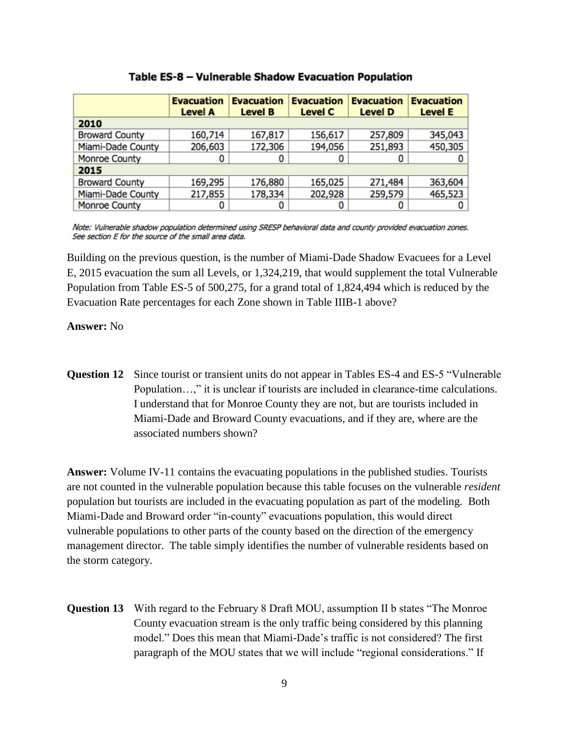|                          | <b>Evacuation</b><br><b>Level A</b> | <b>Evacuation</b><br><b>Level B</b> | <b>Evacuation</b><br><b>Level C</b> | <b>Evacuation</b><br><b>Level D</b> | <b>Evacuation</b><br><b>Level E</b> |  |  |  |  |  |
|--------------------------|-------------------------------------|-------------------------------------|-------------------------------------|-------------------------------------|-------------------------------------|--|--|--|--|--|
| 2010                     |                                     |                                     |                                     |                                     |                                     |  |  |  |  |  |
| <b>Broward County</b>    | 160,714                             | 167,817                             | 156,617                             | 257,809                             | 345,043                             |  |  |  |  |  |
| Miami-Dade County        | 206,603                             | 172,306                             | 194,056                             | 251,893                             | 450,305                             |  |  |  |  |  |
| <b>Monroe County</b>     | 0                                   |                                     |                                     | 0                                   |                                     |  |  |  |  |  |
| 2015                     |                                     |                                     |                                     |                                     |                                     |  |  |  |  |  |
| <b>Broward County</b>    | 169,295                             | 176,880                             | 165,025                             | 271,484                             | 363,604                             |  |  |  |  |  |
| <b>Miami-Dade County</b> | 217,855                             | 178,334                             | 202,928                             | 259,579                             | 465,523                             |  |  |  |  |  |
| <b>Monroe County</b>     |                                     |                                     |                                     | 0                                   | 0                                   |  |  |  |  |  |

#### Table ES-8 - Vulnerable Shadow Evacuation Population

Note: Vulnerable shadow population determined using SRESP behavioral data and county provided evacuation zones. See section E for the source of the small area data.

Building on the previous question, is the number of Miami-Dade Shadow Evacuees for a Level E, 2015 evacuation the sum all Levels, or 1,324,219, that would supplement the total Vulnerable Population from Table ES-5 of 500,275, for a grand total of 1,824,494 which is reduced by the Evacuation Rate percentages for each Zone shown in Table IIIB-1 above?

#### **Answer:** No

**Question 12** Since tourist or transient units do not appear in Tables ES-4 and ES-5 "Vulnerable" Population…," it is unclear if tourists are included in clearance-time calculations. I understand that for Monroe County they are not, but are tourists included in Miami-Dade and Broward County evacuations, and if they are, where are the associated numbers shown?

**Answer:** Volume IV-11 contains the evacuating populations in the published studies. Tourists are not counted in the vulnerable population because this table focuses on the vulnerable *resident*  population but tourists are included in the evacuating population as part of the modeling. Both Miami-Dade and Broward order "in-county" evacuations population, this would direct vulnerable populations to other parts of the county based on the direction of the emergency management director. The table simply identifies the number of vulnerable residents based on the storm category.

**Question 13** With regard to the February 8 Draft MOU, assumption II b states "The Monroe County evacuation stream is the only traffic being considered by this planning model." Does this mean that Miami-Dade's traffic is not considered? The first paragraph of the MOU states that we will include "regional considerations." If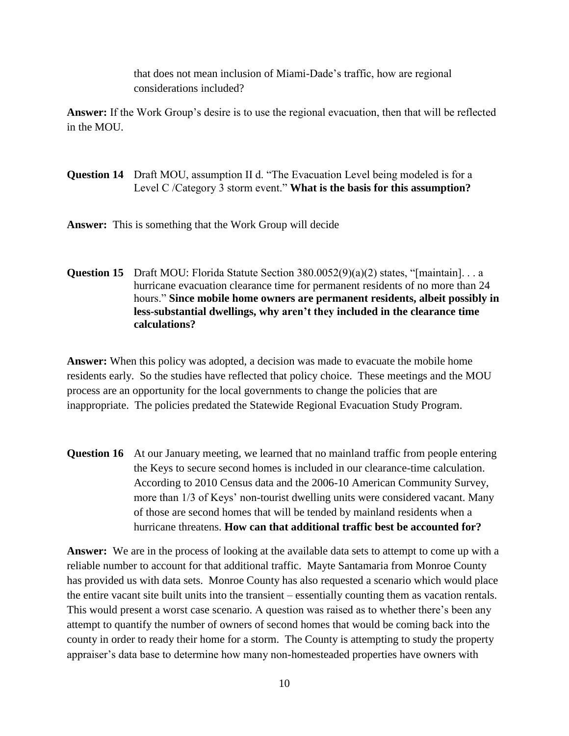that does not mean inclusion of Miami-Dade's traffic, how are regional considerations included?

**Answer:** If the Work Group's desire is to use the regional evacuation, then that will be reflected in the MOU.

## **Question 14** Draft MOU, assumption II d. "The Evacuation Level being modeled is for a Level C /Category 3 storm event." **What is the basis for this assumption?**

**Answer:** This is something that the Work Group will decide

### **Question 15** Draft MOU: Florida Statute Section 380.0052(9)(a)(2) states, "[maintain]... a hurricane evacuation clearance time for permanent residents of no more than 24 hours." **Since mobile home owners are permanent residents, albeit possibly in less-substantial dwellings, why aren't they included in the clearance time calculations?**

**Answer:** When this policy was adopted, a decision was made to evacuate the mobile home residents early. So the studies have reflected that policy choice. These meetings and the MOU process are an opportunity for the local governments to change the policies that are inappropriate. The policies predated the Statewide Regional Evacuation Study Program.

**Question 16** At our January meeting, we learned that no mainland traffic from people entering the Keys to secure second homes is included in our clearance-time calculation. According to 2010 Census data and the 2006-10 American Community Survey, more than 1/3 of Keys' non-tourist dwelling units were considered vacant. Many of those are second homes that will be tended by mainland residents when a hurricane threatens. **How can that additional traffic best be accounted for?**

**Answer:** We are in the process of looking at the available data sets to attempt to come up with a reliable number to account for that additional traffic. Mayte Santamaria from Monroe County has provided us with data sets. Monroe County has also requested a scenario which would place the entire vacant site built units into the transient – essentially counting them as vacation rentals. This would present a worst case scenario. A question was raised as to whether there's been any attempt to quantify the number of owners of second homes that would be coming back into the county in order to ready their home for a storm. The County is attempting to study the property appraiser's data base to determine how many non-homesteaded properties have owners with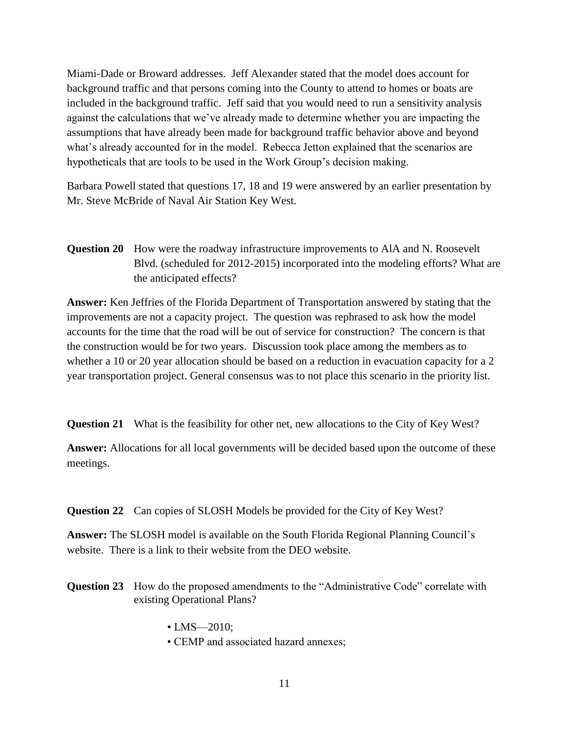Miami-Dade or Broward addresses. Jeff Alexander stated that the model does account for background traffic and that persons coming into the County to attend to homes or boats are included in the background traffic. Jeff said that you would need to run a sensitivity analysis against the calculations that we've already made to determine whether you are impacting the assumptions that have already been made for background traffic behavior above and beyond what's already accounted for in the model. Rebecca Jetton explained that the scenarios are hypotheticals that are tools to be used in the Work Group's decision making.

Barbara Powell stated that questions 17, 18 and 19 were answered by an earlier presentation by Mr. Steve McBride of Naval Air Station Key West.

**Question 20** How were the roadway infrastructure improvements to AlA and N. Roosevelt Blvd. (scheduled for 2012-2015) incorporated into the modeling efforts? What are the anticipated effects?

**Answer:** Ken Jeffries of the Florida Department of Transportation answered by stating that the improvements are not a capacity project. The question was rephrased to ask how the model accounts for the time that the road will be out of service for construction? The concern is that the construction would be for two years. Discussion took place among the members as to whether a 10 or 20 year allocation should be based on a reduction in evacuation capacity for a 2 year transportation project. General consensus was to not place this scenario in the priority list.

**Question 21** What is the feasibility for other net, new allocations to the City of Key West?

**Answer:** Allocations for all local governments will be decided based upon the outcome of these meetings.

**Question 22** Can copies of SLOSH Models be provided for the City of Key West?

**Answer:** The SLOSH model is available on the South Florida Regional Planning Council's website. There is a link to their website from the DEO website.

- **Question 23** How do the proposed amendments to the "Administrative Code" correlate with existing Operational Plans?
	- LMS-2010;
	- CEMP and associated hazard annexes;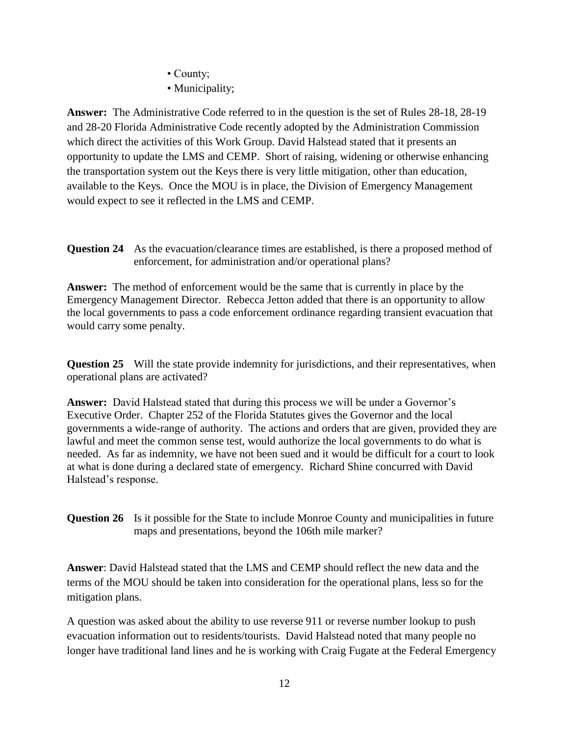• County;

• Municipality;

**Answer:** The Administrative Code referred to in the question is the set of Rules 28-18, 28-19 and 28-20 Florida Administrative Code recently adopted by the Administration Commission which direct the activities of this Work Group. David Halstead stated that it presents an opportunity to update the LMS and CEMP. Short of raising, widening or otherwise enhancing the transportation system out the Keys there is very little mitigation, other than education, available to the Keys. Once the MOU is in place, the Division of Emergency Management would expect to see it reflected in the LMS and CEMP.

**Question 24** As the evacuation/clearance times are established, is there a proposed method of enforcement, for administration and/or operational plans?

**Answer:** The method of enforcement would be the same that is currently in place by the Emergency Management Director. Rebecca Jetton added that there is an opportunity to allow the local governments to pass a code enforcement ordinance regarding transient evacuation that would carry some penalty.

**Question 25** Will the state provide indemnity for jurisdictions, and their representatives, when operational plans are activated?

**Answer:** David Halstead stated that during this process we will be under a Governor's Executive Order. Chapter 252 of the Florida Statutes gives the Governor and the local governments a wide-range of authority. The actions and orders that are given, provided they are lawful and meet the common sense test, would authorize the local governments to do what is needed. As far as indemnity, we have not been sued and it would be difficult for a court to look at what is done during a declared state of emergency. Richard Shine concurred with David Halstead's response.

**Question 26** Is it possible for the State to include Monroe County and municipalities in future maps and presentations, beyond the 106th mile marker?

**Answer**: David Halstead stated that the LMS and CEMP should reflect the new data and the terms of the MOU should be taken into consideration for the operational plans, less so for the mitigation plans.

A question was asked about the ability to use reverse 911 or reverse number lookup to push evacuation information out to residents/tourists. David Halstead noted that many people no longer have traditional land lines and he is working with Craig Fugate at the Federal Emergency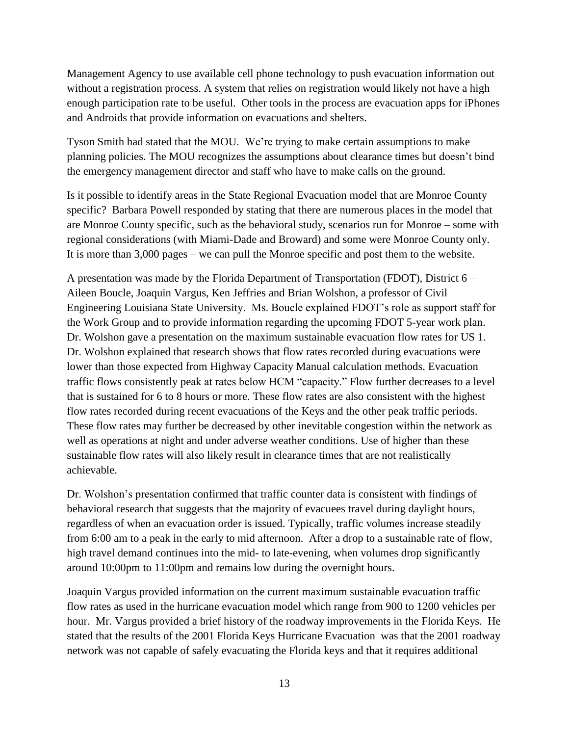Management Agency to use available cell phone technology to push evacuation information out without a registration process. A system that relies on registration would likely not have a high enough participation rate to be useful. Other tools in the process are evacuation apps for iPhones and Androids that provide information on evacuations and shelters.

Tyson Smith had stated that the MOU. We're trying to make certain assumptions to make planning policies. The MOU recognizes the assumptions about clearance times but doesn't bind the emergency management director and staff who have to make calls on the ground.

Is it possible to identify areas in the State Regional Evacuation model that are Monroe County specific? Barbara Powell responded by stating that there are numerous places in the model that are Monroe County specific, such as the behavioral study, scenarios run for Monroe – some with regional considerations (with Miami-Dade and Broward) and some were Monroe County only. It is more than 3,000 pages – we can pull the Monroe specific and post them to the website.

A presentation was made by the Florida Department of Transportation (FDOT), District 6 – Aileen Boucle, Joaquin Vargus, Ken Jeffries and Brian Wolshon, a professor of Civil Engineering Louisiana State University. Ms. Boucle explained FDOT's role as support staff for the Work Group and to provide information regarding the upcoming FDOT 5-year work plan. Dr. Wolshon gave a presentation on the maximum sustainable evacuation flow rates for US 1. Dr. Wolshon explained that research shows that flow rates recorded during evacuations were lower than those expected from Highway Capacity Manual calculation methods. Evacuation traffic flows consistently peak at rates below HCM "capacity." Flow further decreases to a level that is sustained for 6 to 8 hours or more. These flow rates are also consistent with the highest flow rates recorded during recent evacuations of the Keys and the other peak traffic periods. These flow rates may further be decreased by other inevitable congestion within the network as well as operations at night and under adverse weather conditions. Use of higher than these sustainable flow rates will also likely result in clearance times that are not realistically achievable.

Dr. Wolshon's presentation confirmed that traffic counter data is consistent with findings of behavioral research that suggests that the majority of evacuees travel during daylight hours, regardless of when an evacuation order is issued. Typically, traffic volumes increase steadily from 6:00 am to a peak in the early to mid afternoon. After a drop to a sustainable rate of flow, high travel demand continues into the mid- to late-evening, when volumes drop significantly around 10:00pm to 11:00pm and remains low during the overnight hours.

Joaquin Vargus provided information on the current maximum sustainable evacuation traffic flow rates as used in the hurricane evacuation model which range from 900 to 1200 vehicles per hour. Mr. Vargus provided a brief history of the roadway improvements in the Florida Keys. He stated that the results of the 2001 Florida Keys Hurricane Evacuation was that the 2001 roadway network was not capable of safely evacuating the Florida keys and that it requires additional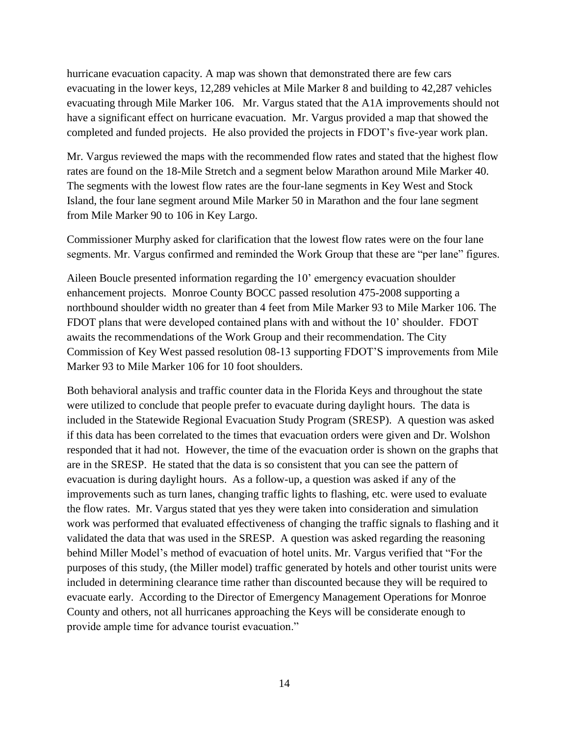hurricane evacuation capacity. A map was shown that demonstrated there are few cars evacuating in the lower keys, 12,289 vehicles at Mile Marker 8 and building to 42,287 vehicles evacuating through Mile Marker 106. Mr. Vargus stated that the A1A improvements should not have a significant effect on hurricane evacuation. Mr. Vargus provided a map that showed the completed and funded projects. He also provided the projects in FDOT's five-year work plan.

Mr. Vargus reviewed the maps with the recommended flow rates and stated that the highest flow rates are found on the 18-Mile Stretch and a segment below Marathon around Mile Marker 40. The segments with the lowest flow rates are the four-lane segments in Key West and Stock Island, the four lane segment around Mile Marker 50 in Marathon and the four lane segment from Mile Marker 90 to 106 in Key Largo.

Commissioner Murphy asked for clarification that the lowest flow rates were on the four lane segments. Mr. Vargus confirmed and reminded the Work Group that these are "per lane" figures.

Aileen Boucle presented information regarding the 10' emergency evacuation shoulder enhancement projects. Monroe County BOCC passed resolution 475-2008 supporting a northbound shoulder width no greater than 4 feet from Mile Marker 93 to Mile Marker 106. The FDOT plans that were developed contained plans with and without the 10' shoulder. FDOT awaits the recommendations of the Work Group and their recommendation. The City Commission of Key West passed resolution 08-13 supporting FDOT'S improvements from Mile Marker 93 to Mile Marker 106 for 10 foot shoulders.

Both behavioral analysis and traffic counter data in the Florida Keys and throughout the state were utilized to conclude that people prefer to evacuate during daylight hours. The data is included in the Statewide Regional Evacuation Study Program (SRESP). A question was asked if this data has been correlated to the times that evacuation orders were given and Dr. Wolshon responded that it had not. However, the time of the evacuation order is shown on the graphs that are in the SRESP. He stated that the data is so consistent that you can see the pattern of evacuation is during daylight hours. As a follow-up, a question was asked if any of the improvements such as turn lanes, changing traffic lights to flashing, etc. were used to evaluate the flow rates. Mr. Vargus stated that yes they were taken into consideration and simulation work was performed that evaluated effectiveness of changing the traffic signals to flashing and it validated the data that was used in the SRESP. A question was asked regarding the reasoning behind Miller Model's method of evacuation of hotel units. Mr. Vargus verified that "For the purposes of this study, (the Miller model) traffic generated by hotels and other tourist units were included in determining clearance time rather than discounted because they will be required to evacuate early. According to the Director of Emergency Management Operations for Monroe County and others, not all hurricanes approaching the Keys will be considerate enough to provide ample time for advance tourist evacuation."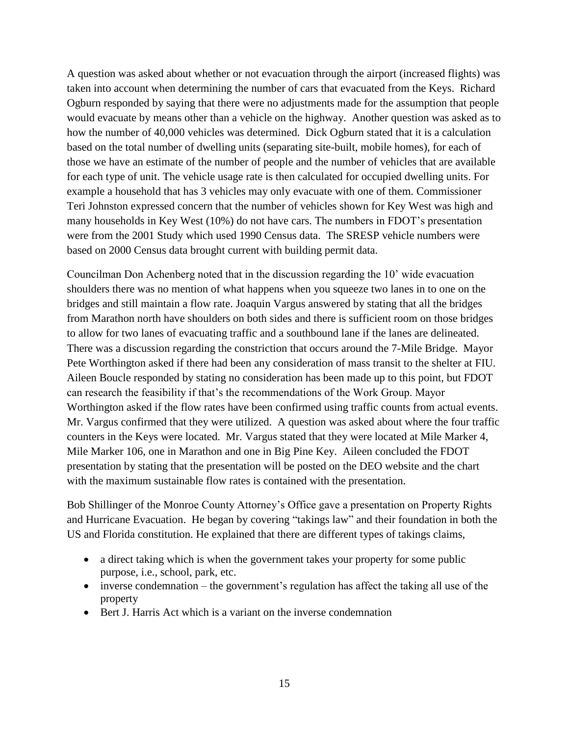A question was asked about whether or not evacuation through the airport (increased flights) was taken into account when determining the number of cars that evacuated from the Keys. Richard Ogburn responded by saying that there were no adjustments made for the assumption that people would evacuate by means other than a vehicle on the highway. Another question was asked as to how the number of 40,000 vehicles was determined. Dick Ogburn stated that it is a calculation based on the total number of dwelling units (separating site-built, mobile homes), for each of those we have an estimate of the number of people and the number of vehicles that are available for each type of unit. The vehicle usage rate is then calculated for occupied dwelling units. For example a household that has 3 vehicles may only evacuate with one of them. Commissioner Teri Johnston expressed concern that the number of vehicles shown for Key West was high and many households in Key West (10%) do not have cars. The numbers in FDOT's presentation were from the 2001 Study which used 1990 Census data. The SRESP vehicle numbers were based on 2000 Census data brought current with building permit data.

Councilman Don Achenberg noted that in the discussion regarding the 10' wide evacuation shoulders there was no mention of what happens when you squeeze two lanes in to one on the bridges and still maintain a flow rate. Joaquin Vargus answered by stating that all the bridges from Marathon north have shoulders on both sides and there is sufficient room on those bridges to allow for two lanes of evacuating traffic and a southbound lane if the lanes are delineated. There was a discussion regarding the constriction that occurs around the 7-Mile Bridge. Mayor Pete Worthington asked if there had been any consideration of mass transit to the shelter at FIU. Aileen Boucle responded by stating no consideration has been made up to this point, but FDOT can research the feasibility if that's the recommendations of the Work Group. Mayor Worthington asked if the flow rates have been confirmed using traffic counts from actual events. Mr. Vargus confirmed that they were utilized. A question was asked about where the four traffic counters in the Keys were located. Mr. Vargus stated that they were located at Mile Marker 4, Mile Marker 106, one in Marathon and one in Big Pine Key. Aileen concluded the FDOT presentation by stating that the presentation will be posted on the DEO website and the chart with the maximum sustainable flow rates is contained with the presentation.

Bob Shillinger of the Monroe County Attorney's Office gave a presentation on Property Rights and Hurricane Evacuation. He began by covering "takings law" and their foundation in both the US and Florida constitution. He explained that there are different types of takings claims,

- a direct taking which is when the government takes your property for some public purpose, i.e., school, park, etc.
- inverse condemnation the government's regulation has affect the taking all use of the property
- Bert J. Harris Act which is a variant on the inverse condemnation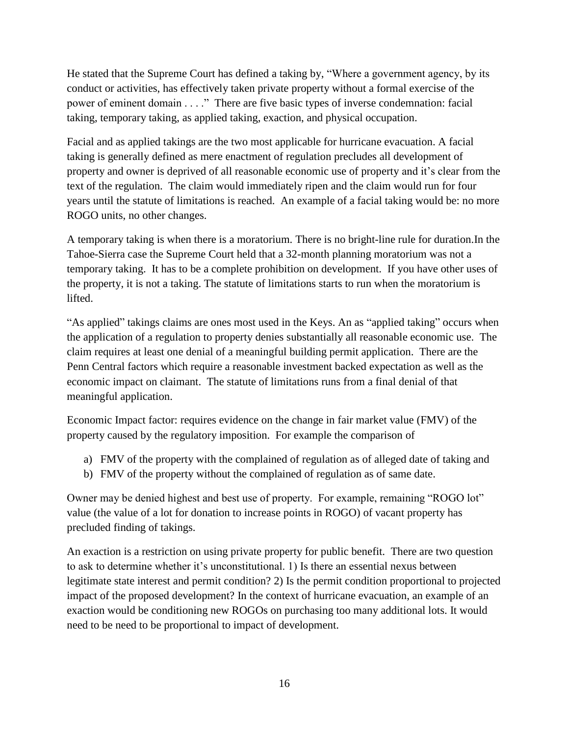He stated that the Supreme Court has defined a taking by, "Where a government agency, by its conduct or activities, has effectively taken private property without a formal exercise of the power of eminent domain . . . ." There are five basic types of inverse condemnation: facial taking, temporary taking, as applied taking, exaction, and physical occupation.

Facial and as applied takings are the two most applicable for hurricane evacuation. A facial taking is generally defined as mere enactment of regulation precludes all development of property and owner is deprived of all reasonable economic use of property and it's clear from the text of the regulation. The claim would immediately ripen and the claim would run for four years until the statute of limitations is reached. An example of a facial taking would be: no more ROGO units, no other changes.

A temporary taking is when there is a moratorium. There is no bright-line rule for duration.In the Tahoe-Sierra case the Supreme Court held that a 32-month planning moratorium was not a temporary taking. It has to be a complete prohibition on development. If you have other uses of the property, it is not a taking. The statute of limitations starts to run when the moratorium is lifted.

"As applied" takings claims are ones most used in the Keys. An as "applied taking" occurs when the application of a regulation to property denies substantially all reasonable economic use. The claim requires at least one denial of a meaningful building permit application. There are the Penn Central factors which require a reasonable investment backed expectation as well as the economic impact on claimant. The statute of limitations runs from a final denial of that meaningful application.

Economic Impact factor: requires evidence on the change in fair market value (FMV) of the property caused by the regulatory imposition. For example the comparison of

- a) FMV of the property with the complained of regulation as of alleged date of taking and
- b) FMV of the property without the complained of regulation as of same date.

Owner may be denied highest and best use of property. For example, remaining "ROGO lot" value (the value of a lot for donation to increase points in ROGO) of vacant property has precluded finding of takings.

An exaction is a restriction on using private property for public benefit. There are two question to ask to determine whether it's unconstitutional. 1) Is there an essential nexus between legitimate state interest and permit condition? 2) Is the permit condition proportional to projected impact of the proposed development? In the context of hurricane evacuation, an example of an exaction would be conditioning new ROGOs on purchasing too many additional lots. It would need to be need to be proportional to impact of development.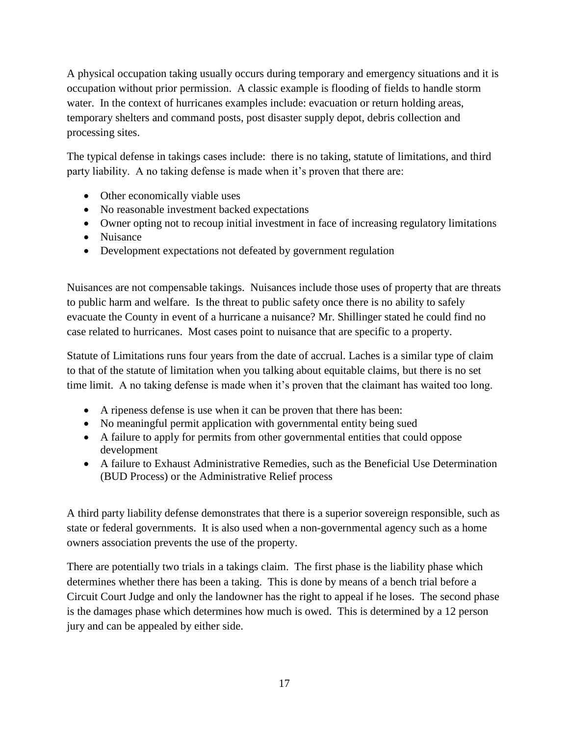A physical occupation taking usually occurs during temporary and emergency situations and it is occupation without prior permission. A classic example is flooding of fields to handle storm water. In the context of hurricanes examples include: evacuation or return holding areas, temporary shelters and command posts, post disaster supply depot, debris collection and processing sites.

The typical defense in takings cases include: there is no taking, statute of limitations, and third party liability. A no taking defense is made when it's proven that there are:

- Other economically viable uses
- No reasonable investment backed expectations
- Owner opting not to recoup initial investment in face of increasing regulatory limitations
- Nuisance
- Development expectations not defeated by government regulation

Nuisances are not compensable takings. Nuisances include those uses of property that are threats to public harm and welfare. Is the threat to public safety once there is no ability to safely evacuate the County in event of a hurricane a nuisance? Mr. Shillinger stated he could find no case related to hurricanes. Most cases point to nuisance that are specific to a property.

Statute of Limitations runs four years from the date of accrual. Laches is a similar type of claim to that of the statute of limitation when you talking about equitable claims, but there is no set time limit. A no taking defense is made when it's proven that the claimant has waited too long.

- A ripeness defense is use when it can be proven that there has been:
- No meaningful permit application with governmental entity being sued
- A failure to apply for permits from other governmental entities that could oppose development
- A failure to Exhaust Administrative Remedies, such as the Beneficial Use Determination (BUD Process) or the Administrative Relief process

A third party liability defense demonstrates that there is a superior sovereign responsible, such as state or federal governments. It is also used when a non-governmental agency such as a home owners association prevents the use of the property.

There are potentially two trials in a takings claim. The first phase is the liability phase which determines whether there has been a taking. This is done by means of a bench trial before a Circuit Court Judge and only the landowner has the right to appeal if he loses. The second phase is the damages phase which determines how much is owed. This is determined by a 12 person jury and can be appealed by either side.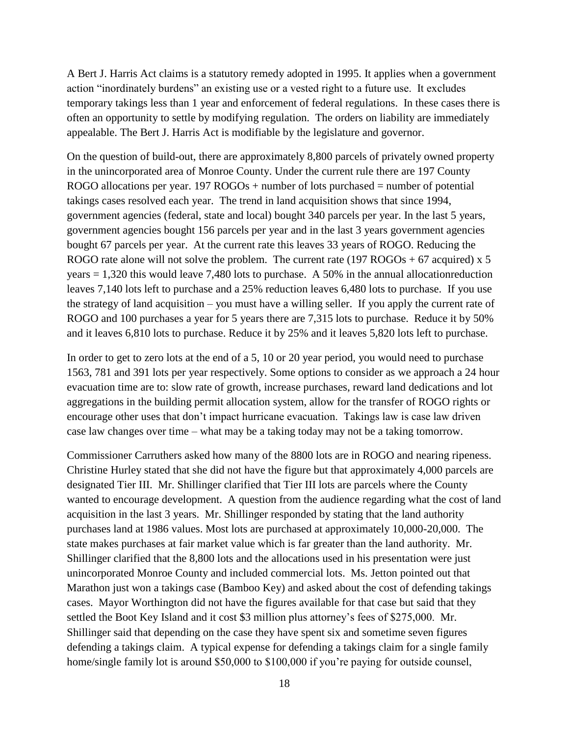A Bert J. Harris Act claims is a statutory remedy adopted in 1995. It applies when a government action "inordinately burdens" an existing use or a vested right to a future use. It excludes temporary takings less than 1 year and enforcement of federal regulations. In these cases there is often an opportunity to settle by modifying regulation. The orders on liability are immediately appealable. The Bert J. Harris Act is modifiable by the legislature and governor.

On the question of build-out, there are approximately 8,800 parcels of privately owned property in the unincorporated area of Monroe County. Under the current rule there are 197 County ROGO allocations per year.  $197 ROGOs + number of lots purchased = number of potential$ takings cases resolved each year. The trend in land acquisition shows that since 1994, government agencies (federal, state and local) bought 340 parcels per year. In the last 5 years, government agencies bought 156 parcels per year and in the last 3 years government agencies bought 67 parcels per year. At the current rate this leaves 33 years of ROGO. Reducing the ROGO rate alone will not solve the problem. The current rate  $(197 ROGOs + 67$  acquired) x 5 years = 1,320 this would leave 7,480 lots to purchase. A 50% in the annual allocationreduction leaves 7,140 lots left to purchase and a 25% reduction leaves 6,480 lots to purchase. If you use the strategy of land acquisition – you must have a willing seller. If you apply the current rate of ROGO and 100 purchases a year for 5 years there are 7,315 lots to purchase. Reduce it by 50% and it leaves 6,810 lots to purchase. Reduce it by 25% and it leaves 5,820 lots left to purchase.

In order to get to zero lots at the end of a 5, 10 or 20 year period, you would need to purchase 1563, 781 and 391 lots per year respectively. Some options to consider as we approach a 24 hour evacuation time are to: slow rate of growth, increase purchases, reward land dedications and lot aggregations in the building permit allocation system, allow for the transfer of ROGO rights or encourage other uses that don't impact hurricane evacuation. Takings law is case law driven case law changes over time – what may be a taking today may not be a taking tomorrow.

Commissioner Carruthers asked how many of the 8800 lots are in ROGO and nearing ripeness. Christine Hurley stated that she did not have the figure but that approximately 4,000 parcels are designated Tier III. Mr. Shillinger clarified that Tier III lots are parcels where the County wanted to encourage development. A question from the audience regarding what the cost of land acquisition in the last 3 years. Mr. Shillinger responded by stating that the land authority purchases land at 1986 values. Most lots are purchased at approximately 10,000-20,000. The state makes purchases at fair market value which is far greater than the land authority. Mr. Shillinger clarified that the 8,800 lots and the allocations used in his presentation were just unincorporated Monroe County and included commercial lots. Ms. Jetton pointed out that Marathon just won a takings case (Bamboo Key) and asked about the cost of defending takings cases. Mayor Worthington did not have the figures available for that case but said that they settled the Boot Key Island and it cost \$3 million plus attorney's fees of \$275,000. Mr. Shillinger said that depending on the case they have spent six and sometime seven figures defending a takings claim. A typical expense for defending a takings claim for a single family home/single family lot is around \$50,000 to \$100,000 if you're paying for outside counsel,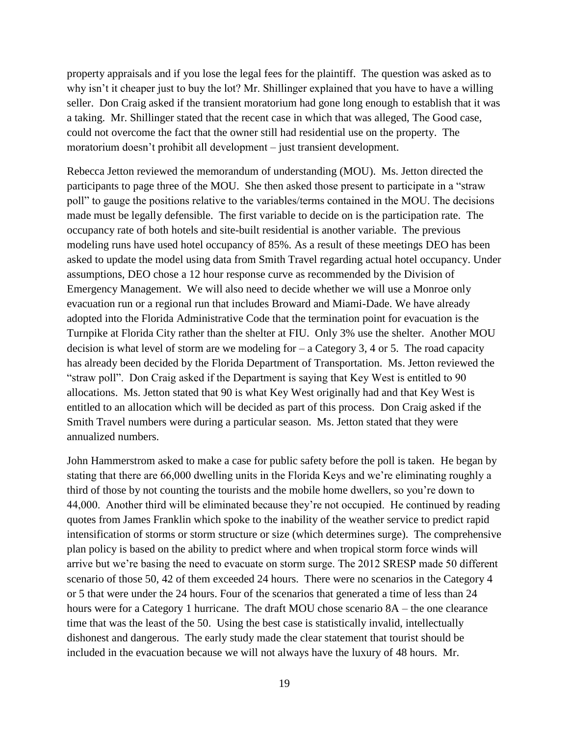property appraisals and if you lose the legal fees for the plaintiff. The question was asked as to why isn't it cheaper just to buy the lot? Mr. Shillinger explained that you have to have a willing seller. Don Craig asked if the transient moratorium had gone long enough to establish that it was a taking. Mr. Shillinger stated that the recent case in which that was alleged, The Good case, could not overcome the fact that the owner still had residential use on the property. The moratorium doesn't prohibit all development – just transient development.

Rebecca Jetton reviewed the memorandum of understanding (MOU). Ms. Jetton directed the participants to page three of the MOU. She then asked those present to participate in a "straw poll" to gauge the positions relative to the variables/terms contained in the MOU. The decisions made must be legally defensible. The first variable to decide on is the participation rate. The occupancy rate of both hotels and site-built residential is another variable. The previous modeling runs have used hotel occupancy of 85%. As a result of these meetings DEO has been asked to update the model using data from Smith Travel regarding actual hotel occupancy. Under assumptions, DEO chose a 12 hour response curve as recommended by the Division of Emergency Management. We will also need to decide whether we will use a Monroe only evacuation run or a regional run that includes Broward and Miami-Dade. We have already adopted into the Florida Administrative Code that the termination point for evacuation is the Turnpike at Florida City rather than the shelter at FIU. Only 3% use the shelter. Another MOU decision is what level of storm are we modeling for  $-$  a Category 3, 4 or 5. The road capacity has already been decided by the Florida Department of Transportation. Ms. Jetton reviewed the "straw poll". Don Craig asked if the Department is saying that Key West is entitled to 90 allocations. Ms. Jetton stated that 90 is what Key West originally had and that Key West is entitled to an allocation which will be decided as part of this process. Don Craig asked if the Smith Travel numbers were during a particular season. Ms. Jetton stated that they were annualized numbers.

John Hammerstrom asked to make a case for public safety before the poll is taken. He began by stating that there are 66,000 dwelling units in the Florida Keys and we're eliminating roughly a third of those by not counting the tourists and the mobile home dwellers, so you're down to 44,000. Another third will be eliminated because they're not occupied. He continued by reading quotes from James Franklin which spoke to the inability of the weather service to predict rapid intensification of storms or storm structure or size (which determines surge). The comprehensive plan policy is based on the ability to predict where and when tropical storm force winds will arrive but we're basing the need to evacuate on storm surge. The 2012 SRESP made 50 different scenario of those 50, 42 of them exceeded 24 hours. There were no scenarios in the Category 4 or 5 that were under the 24 hours. Four of the scenarios that generated a time of less than 24 hours were for a Category 1 hurricane. The draft MOU chose scenario 8A – the one clearance time that was the least of the 50. Using the best case is statistically invalid, intellectually dishonest and dangerous. The early study made the clear statement that tourist should be included in the evacuation because we will not always have the luxury of 48 hours. Mr.